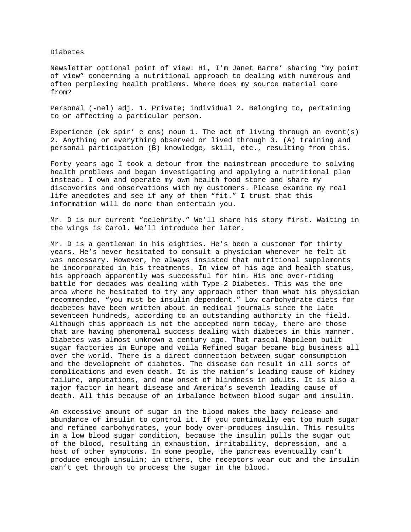Diabetes

Newsletter optional point of view: Hi, I'm Janet Barre' sharing "my point of view" concerning a nutritional approach to dealing with numerous and often perplexing health problems. Where does my source material come from?

Personal (-nel) adj. 1. Private; individual 2. Belonging to, pertaining to or affecting a particular person.

Experience (ek spir' e ens) noun 1. The act of living through an event(s) 2. Anything or everything observed or lived through 3. (A) training and personal participation (B) knowledge, skill, etc., resulting from this.

Forty years ago I took a detour from the mainstream procedure to solving health problems and began investigating and applying a nutritional plan instead. I own and operate my own health food store and share my discoveries and observations with my customers. Please examine my real life anecdotes and see if any of them "fit." I trust that this information will do more than entertain you.

Mr. D is our current "celebrity." We'll share his story first. Waiting in the wings is Carol. We'll introduce her later.

Mr. D is a gentleman in his eighties. He's been a customer for thirty years. He's never hesitated to consult a physician whenever he felt it was necessary. However, he always insisted that nutritional supplements be incorporated in his treatments. In view of his age and health status, his approach apparently was successful for him. His one over-riding battle for decades was dealing with Type-2 Diabetes. This was the one area where he hesitated to try any approach other than what his physician recommended, "you must be insulin dependent." Low carbohydrate diets for deabetes have been written about in medical journals since the late seventeen hundreds, according to an outstanding authority in the field. Although this approach is not the accepted norm today, there are those that are having phenomenal success dealing with diabetes in this manner. Diabetes was almost unknown a century ago. That rascal Napoleon built sugar factories in Europe and voila Refined sugar became big business all over the world. There is a direct connection between sugar consumption and the development of diabetes. The disease can result in all sorts of complications and even death. It is the nation's leading cause of kidney failure, amputations, and new onset of blindness in adults. It is also a major factor in heart disease and America's seventh leading cause of death. All this because of an imbalance between blood sugar and insulin.

An excessive amount of sugar in the blood makes the bady release and abundance of insulin to control it. If you continually eat too much sugar and refined carbohydrates, your body over-produces insulin. This results in a low blood sugar condition, because the insulin pulls the sugar out of the blood, resulting in exhaustion, irritability, depression, and a host of other symptoms. In some people, the pancreas eventually can't produce enough insulin; in others, the receptors wear out and the insulin can't get through to process the sugar in the blood.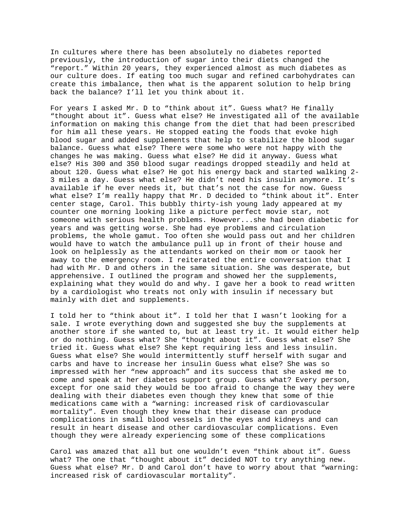In cultures where there has been absolutely no diabetes reported previously, the introduction of sugar into their diets changed the "report." Within 20 years, they experienced almost as much diabetes as our culture does. If eating too much sugar and refined carbohydrates can create this imbalance, then what is the apparent solution to help bring back the balance? I'll let you think about it.

For years I asked Mr. D to "think about it". Guess what? He finally "thought about it". Guess what else? He investigated all of the available information on making this change from the diet that had been prescribed for him all these years. He stopped eating the foods that evoke high blood sugar and added supplements that help to stabilize the blood sugar balance. Guess what else? There were some who were not happy with the changes he was making. Guess what else? He did it anyway. Guess what else? His 300 and 350 blood sugar readings dropped steadily and held at about 120. Guess what else? He got his energy back and started walking 2- 3 miles a day. Guess what else? He didn't need his insulin anymore. It's available if he ever needs it, but that's not the case for now. Guess what else? I'm really happy that Mr. D decided to "think about it". Enter center stage, Carol. This bubbly thirty-ish young lady appeared at my counter one morning looking like a picture perfect movie star, not someone with serious health problems. However...she had been diabetic for years and was getting worse. She had eye problems and circulation problems, the whole gamut. Too often she would pass out and her children would have to watch the ambulance pull up in front of their house and look on helplessly as the attendants worked on their mom or taook her away to the emergency room. I reiterated the entire conversation that I had with Mr. D and others in the same situation. She was desperate, but apprehensive. I outlined the program and showed her the supplements, explaining what they would do and why. I gave her a book to read written by a cardiologist who treats not only with insulin if necessary but mainly with diet and supplements.

I told her to "think about it". I told her that I wasn't looking for a sale. I wrote everything down and suggested she buy the supplements at another store if she wanted to, but at least try it. It would either help or do nothing. Guess what? She "thought about it". Guess what else? She tried it. Guess what else? She kept requiring less and less insulin. Guess what else? She would intermittently stuff herself with sugar and carbs and have to increase her insulin Guess what else? She was so impressed with her "new approach" and its success that she asked me to come and speak at her diabetes support group. Guess what? Every person, except for one said they would be too afraid to change the way they were dealing with their diabetes even though they knew that some of thie medications came with a "warning: increased risk of cardiovascular mortality". Even though they knew that their disease can produce complications in small blood vessels in the eyes and kidneys and can result in heart disease and other cardiovascular complications. Even though they were already experiencing some of these complications

Carol was amazed that all but one wouldn't even "think about it". Guess what? The one that "thought about it" decided NOT to try anything new. Guess what else? Mr. D and Carol don't have to worry about that "warning: increased risk of cardiovascular mortality".